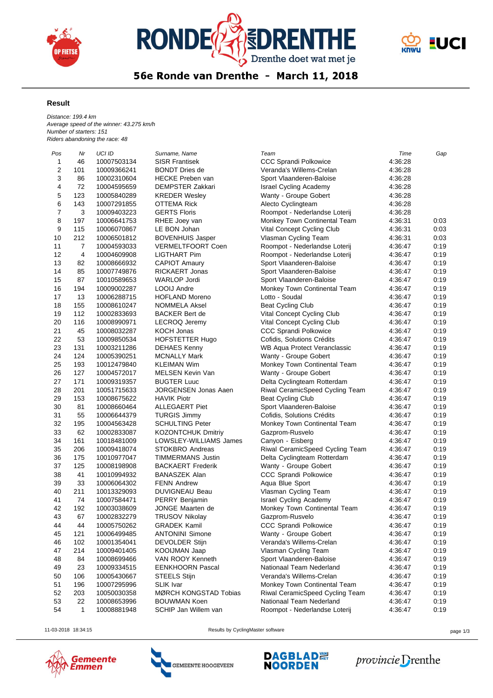





56e Ronde van Drenthe - March 11, 2018

## **Result**

*Distance: 199.4 km Average speed of the winner: 43.275 km/h Number of starters: 151 Riders abandoning the race: 48*

| Pos | Nr             | UCI ID      | Surname, Name               | Team                                            | Time    | Gap  |
|-----|----------------|-------------|-----------------------------|-------------------------------------------------|---------|------|
| 1   | 46             | 10007503134 | <b>SISR Frantisek</b>       | <b>CCC Sprandi Polkowice</b>                    | 4:36:28 |      |
| 2   | 101            | 10009366241 | <b>BONDT Dries de</b>       | Veranda's Willems-Crelan                        | 4:36:28 |      |
| 3   | 86             | 10002310604 | <b>HECKE Preben van</b>     | Sport Vlaanderen-Baloise                        | 4:36:28 |      |
| 4   | 72             | 10004595659 | <b>DEMPSTER Zakkari</b>     | <b>Israel Cycling Academy</b>                   | 4:36:28 |      |
| 5   | 123            | 10005840289 | <b>KREDER Wesley</b>        | Wanty - Groupe Gobert                           | 4:36:28 |      |
| 6   | 143            | 10007291855 | <b>OTTEMA Rick</b>          | Alecto Cyclingteam                              | 4:36:28 |      |
| 7   | 3              | 10009403223 | <b>GERTS Floris</b>         | Roompot - Nederlandse Loterij                   | 4 36 28 |      |
| 8   | 197            | 10006641753 | RHEE Joey van               | Monkey Town Continental Team                    | 4:36:31 | 0:03 |
| 9   | 115            | 10006070867 | LE BON Johan                | Vital Concept Cycling Club                      | 4:36:31 | 0:03 |
| 10  | 212            | 10006501812 | <b>BOVENHUIS Jasper</b>     | Vlasman Cycling Team                            | 4:36:31 | 0:03 |
| 11  | 7              | 10004593033 | <b>VERMELTFOORT Coen</b>    | Roompot - Nederlandse Loterij                   | 4:36:47 | 0:19 |
| 12  | $\overline{4}$ | 10004609908 | <b>LIGTHART Pim</b>         | Roompot - Nederlandse Loterij                   | 4:36:47 | 0:19 |
| 13  | 82             | 10008666932 | <b>CAPIOT Amaury</b>        | Sport Vlaanderen-Baloise                        | 4:36:47 | 0:19 |
| 14  | 85             | 10007749876 | <b>RICKAERT Jonas</b>       | Sport Vlaanderen-Baloise                        | 4:36:47 | 0:19 |
| 15  | 87             | 10010589653 | <b>WARLOP Jordi</b>         | Sport Vlaanderen-Baloise                        | 4:36:47 | 0:19 |
| 16  | 194            | 10009002287 | LOOIJ Andre                 | Monkey Town Continental Team                    | 4:36:47 | 0:19 |
| 17  | 13             | 10006288715 | <b>HOFLAND Moreno</b>       | Lotto - Soudal                                  | 4:36:47 | 0:19 |
| 18  | 155            | 10008610247 | <b>NOMMELA Aksel</b>        | <b>Beat Cycling Club</b>                        | 4:36:47 | 0:19 |
| 19  | 112            | 10002833693 | <b>BACKER Bert de</b>       | Vital Concept Cycling Club                      | 4:36:47 | 0:19 |
| 20  | 116            | 10008990971 | <b>LECROQ Jeremy</b>        | Vital Concept Cycling Club                      | 4:36:47 | 0:19 |
| 21  | 45             | 10008032287 | KOCH Jonas                  | CCC Sprandi Polkowice                           | 4:36:47 | 0:19 |
| 22  | 53             | 10009850534 | HOFSTETTER Hugo             | Cofidis, Solutions Crédits                      | 4:36:47 | 0:19 |
| 23  | 131            | 10003211286 | <b>DEHAES Kenny</b>         | <b>WB Aqua Protect Veranclassic</b>             | 4:36:47 | 0:19 |
| 24  | 124            | 10005390251 | <b>MCNALLY Mark</b>         | Wanty - Groupe Gobert                           | 4:36:47 | 0:19 |
| 25  | 193            | 10012479840 | <b>KLEIMAN Wim</b>          | Monkey Town Continental Team                    | 4:36:47 | 0:19 |
| 26  | 127            | 10004572017 | <b>MELSEN Kevin Van</b>     | Wanty - Groupe Gobert                           | 4:36:47 | 0:19 |
| 27  | 171            | 10009319357 | <b>BUGTER Luuc</b>          | Delta Cyclingteam Rotterdam                     | 4:36:47 | 0:19 |
| 28  | 201            | 10051715633 | <b>JORGENSEN Jonas Aaen</b> | Riwal CeramicSpeed Cycling Team                 | 4 36 47 | 0:19 |
| 29  | 153            | 10008675622 | <b>HAVIK Piotr</b>          | <b>Beat Cycling Club</b>                        | 4:36:47 | 0:19 |
| 30  | 81             | 10008660464 | <b>ALLEGAERT Piet</b>       | Sport Vlaanderen-Baloise                        | 4:36:47 | 0:19 |
| 31  | 55             | 10006644379 | <b>TURGIS Jimmy</b>         | Cofidis, Solutions Crédits                      | 4:36:47 | 0:19 |
| 32  | 195            | 10004563428 | <b>SCHULTING Peter</b>      | Monkey Town Continental Team                    | 4:36:47 | 0:19 |
| 33  | 62             | 10002833087 | <b>KOZONTCHUK Dmitriy</b>   | Gazprom-Rusvelo                                 | 4:36:47 | 0:19 |
| 34  | 161            | 10018481009 | LOWSLEY-WILLIAMS James      | Canyon - Eisberg                                | 4:36:47 | 0:19 |
| 35  | 206            | 10009418074 | STOKBRO Andreas             | Riwal CeramicSpeed Cycling Team                 | 4:36:47 | 0:19 |
| 36  | 175            | 10010977047 | TIMMERMANS Justin           | Delta Cyclingteam Rotterdam                     | 4:36:47 | 0:19 |
| 37  | 125            | 10008198908 | <b>BACKAERT Frederik</b>    | Wanty - Groupe Gobert                           | 4:36:47 | 0:19 |
| 38  | 41             | 10010994932 | <b>BANASZEK Alan</b>        | CCC Sprandi Polkowice                           | 4:36:47 | 0:19 |
| 39  | 33             | 10006064302 | <b>FENN Andrew</b>          | Aqua Blue Sport                                 | 4:36:47 | 0:19 |
| 40  | 211            | 10013329093 | DUVIGNEAU Beau              | Vlasman Cycling Team                            | 4:36:47 | 0:19 |
| 41  | 74             | 10007584471 | PERRY Benjamin              | <b>Israel Cycling Academy</b>                   | 4:36:47 | 0:19 |
| 42  | 192            |             | JONGE Maarten de            |                                                 | 4:36:47 | 0:19 |
| 43  | 67             | 10003038609 | <b>TRUSOV Nikolay</b>       | Monkey Town Continental Team<br>Gazprom-Rusvelo |         | 0:19 |
|     |                | 10002832279 |                             |                                                 | 4:36:47 |      |
| 44  | 44             | 10005750262 | GRADEK Kamil                | CCC Sprandi Polkowice                           | 4.36.47 | 0:19 |
| 45  | 121            | 10006499485 | <b>ANTONINI Simone</b>      | Wanty - Groupe Gobert                           | 4.36.47 | 0:19 |
| 46  | 102            | 10001354041 | <b>DEVOLDER Stijn</b>       | Veranda's Willems-Crelan                        | 4.36.47 | 0:19 |
| 47  | 214            | 10009401405 | KOOIJMAN Jaap               | Vlasman Cycling Team                            | 4:36:47 | 0:19 |
| 48  | 84             | 10008699466 | VAN ROOY Kenneth            | Sport Vlaanderen-Baloise                        | 4:36:47 | 0:19 |
| 49  | 23             | 10009334515 | <b>EENKHOORN Pascal</b>     | Nationaal Team Nederland                        | 4:36:47 | 0:19 |
| 50  | 106            | 10005430667 | <b>STEELS Stijn</b>         | Veranda's Willems-Crelan                        | 4:36:47 | 0:19 |
| 51  | 196            | 10007295996 | <b>SLIK Ivar</b>            | Monkey Town Continental Team                    | 4:36:47 | 0:19 |
| 52  | 203            | 10050030358 | MØRCH KONGSTAD Tobias       | Riwal CeramicSpeed Cycling Team                 | 4:36:47 | 0:19 |
| 53  | 22             | 10008653996 | <b>BOUWMAN Koen</b>         | Nationaal Team Nederland                        | 4:36:47 | 0:19 |
| 54  | 1              | 10008881948 | SCHIP Jan Willem van        | Roompot - Nederlandse Loterij                   | 4:36:47 | 0:19 |



11-03-2018 18:34:15 Results by CyclingMaster software page 1/3

GEMEENTE HOOGEVEEN



provincie Drenthe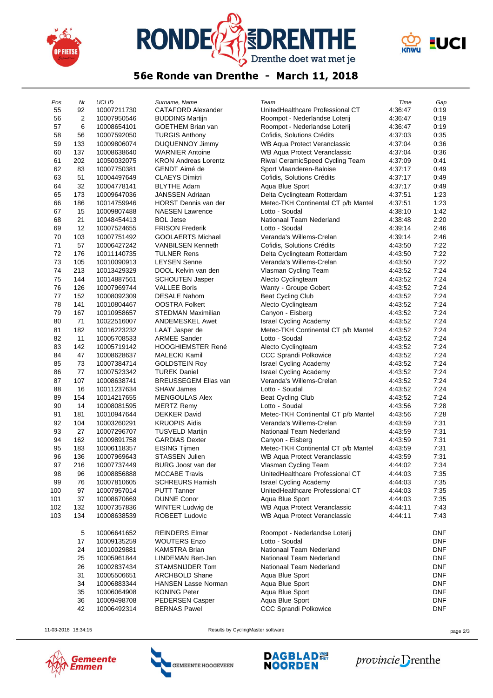





## 56e Ronde van Drenthe - March 11, 2018

| Pos      | Nr       | <b>UCI ID</b> | Surname, Name               | Team                                | Time    | Gap        |
|----------|----------|---------------|-----------------------------|-------------------------------------|---------|------------|
| 55       | 92       | 10007211730   | <b>CATAFORD Alexander</b>   | UnitedHealthcare Professional CT    | 4:36:47 | 0:19       |
| 56       | 2        | 10007950546   | <b>BUDDING Martijn</b>      | Roompot - Nederlandse Loterij       | 4 36 47 | 0:19       |
| 57       | 6        | 10008654101   | GOETHEM Brian van           | Roompot - Nederlandse Loterij       | 4:36:47 | 0:19       |
| 58       | 56       | 10007592050   | <b>TURGIS Anthony</b>       | Cofidis, Solutions Crédits          | 4:37:03 | 0:35       |
| 59       | 133      | 10009806074   | <b>DUQUENNOY Jimmy</b>      | WB Aqua Protect Veranclassic        | 4 37 04 | 0:36       |
| 60       | 137      | 10008638640   | <b>WARNIER Antoine</b>      | WB Aqua Protect Veranclassic        | 4:37:04 | 0:36       |
| 61       | 202      | 10050032075   | <b>KRON Andreas Lorentz</b> | Riwal CeramicSpeed Cycling Team     | 4:37:09 | 0:41       |
| 62       | 83       | 10007750381   | GENDT Aimé de               | Sport Vlaanderen-Baloise            | 4:37:17 | 0:49       |
| 63       | 51       | 10004497649   | <b>CLAEYS Dimitri</b>       | Cofidis, Solutions Crédits          | 4:37:17 | 0:49       |
| 64       | 32       | 10004778141   | <b>BLYTHE Adam</b>          | Aqua Blue Sport                     | 4:37:17 | 0:49       |
| 65       | 173      | 10009647036   | <b>JANSSEN Adriaan</b>      | Delta Cyclingteam Rotterdam         | 4:37:51 | 1:23       |
| 66       | 186      | 10014759946   | <b>HORST Dennis van der</b> | Metec-TKH Continental CT p/b Mantel | 4:37:51 | 1:23       |
| 67       | 15       | 10009807488   | <b>NAESEN Lawrence</b>      | Lotto - Soudal                      | 4:38:10 | 1:42       |
| 68       | 21       | 10048454413   | <b>BOL Jetse</b>            | Nationaal Team Nederland            | 4:38:48 | 2:20       |
| 69       | 12       | 10007524655   | <b>FRISON Frederik</b>      | Lotto - Soudal                      | 4 39 14 | 2:46       |
| 70       | 103      | 10007751492   | <b>GOOLAERTS Michael</b>    | Veranda's Willems-Crelan            | 4:39:14 | 2:46       |
| 71       | 57       | 10006427242   | <b>VANBILSEN Kenneth</b>    | Cofidis, Solutions Crédits          | 4:43:50 | 7:22       |
| 72       | 176      | 10011140735   | <b>TULNER Rens</b>          | Delta Cyclingteam Rotterdam         | 4:43:50 | 7:22       |
| 73       | 105      | 10010090913   | <b>LEYSEN Senne</b>         | Veranda's Willems-Crelan            | 4:43:50 | 7:22       |
| 74       | 213      | 10013429329   | DOOL Kelvin van den         | Vlasman Cycling Team                | 4:43:52 | 7:24       |
| 75       | 144      | 10014887561   | <b>SCHOUTEN Jasper</b>      | Alecto Cyclingteam                  | 4:43:52 | 7:24       |
| 76       | 126      | 10007969744   | <b>VALLEE Boris</b>         | Wanty - Groupe Gobert               | 4 43 52 | 7:24       |
| 77       | 152      | 10008092309   | <b>DESALE Nahom</b>         | Beat Cycling Club                   | 4:43:52 | 7:24       |
| 78       | 141      | 10010804467   | <b>OOSTRA Folkert</b>       | Alecto Cyclingteam                  | 4:43:52 | 7:24       |
| 79       | 167      | 10010958657   | STEDMAN Maximilian          | Canyon - Eisberg                    | 4:43:52 | 7:24       |
| 80       | 71       | 10022516007   | <b>ANDEMESKEL Awet</b>      | <b>Israel Cycling Academy</b>       | 4 43 52 | 7:24       |
| 81       | 182      | 10016223232   | LAAT Jasper de              | Metec-TKH Continental CT p/b Mantel | 4:43:52 | 7:24       |
| 82       | 11       | 10005708533   | <b>ARMEE Sander</b>         | Lotto - Soudal                      | 4:43:52 | 7:24       |
|          |          |               |                             |                                     |         | 7:24       |
| 83<br>84 | 142      | 10005719142   | <b>HOOGHIEMSTER René</b>    | Alecto Cyclingteam                  | 4:43:52 | 7:24       |
| 85       | 47       | 10008628637   | <b>MALECKI Kamil</b>        | <b>CCC Sprandi Polkowice</b>        | 4 43 52 |            |
|          | 73<br>77 | 10007384714   | <b>GOLDSTEIN Roy</b>        | <b>Israel Cycling Academy</b>       | 4:43:52 | 7:24       |
| 86       |          | 10007523342   | <b>TUREK Daniel</b>         | <b>Israel Cycling Academy</b>       | 4 43 52 | 7:24       |
| 87       | 107      | 10008638741   | <b>BREUSSEGEM Elias van</b> | Veranda's Willems-Crelan            | 4 43 52 | 7:24       |
| 88       | 16       | 10011237634   | <b>SHAW James</b>           | Lotto - Soudal                      | 4:43:52 | 7:24       |
| 89       | 154      | 10014217655   | MENGOULAS Alex              | Beat Cycling Club                   | 4:43:52 | 7:24       |
| 90       | 14       | 10008081595   | <b>MERTZ Remy</b>           | Lotto - Soudal                      | 4:43:56 | 7:28       |
| 91       | 181      | 10010947644   | <b>DEKKER David</b>         | Metec-TKH Continental CT p/b Mantel | 4:43:56 | 7:28       |
| 92       | 104      | 10003260291   | <b>KRUOPIS Aidis</b>        | Veranda's Willems-Crelan            | 4 43 59 | 7:31       |
| 93       | 27       | 10007296707   | <b>TUSVELD Martijn</b>      | Nationaal Team Nederland            | 4:43:59 | 7:31       |
| 94       | 162      | 10009891758   | <b>GARDIAS Dexter</b>       | Canyon - Eisberg                    | 4:43:59 | 7:31       |
| 95       | 183      | 10006118357   | EISING Tijmen               | Metec-TKH Continental CT p/b Mantel | 4:43:59 | 7:31       |
| 96       | 136      | 10007969643   | <b>STASSEN Julien</b>       | WB Aqua Protect Veranclassic        | 4:43:59 | 7:31       |
| 97       | 216      | 10007737449   | <b>BURG</b> Joost van der   | Vlasman Cycling Team                | 4:44:02 | 7:34       |
| 98       | 96       | 10008856888   | <b>MCCABE Travis</b>        | UnitedHealthcare Professional CT    | 4:44:03 | 7:35       |
| 99       | 76       | 10007810605   | <b>SCHREURS Hamish</b>      | <b>Israel Cycling Academy</b>       | 4:44:03 | 7:35       |
| 100      | 97       | 10007957014   | <b>PUTT Tanner</b>          | UnitedHealthcare Professional CT    | 4:44:03 | 7:35       |
| 101      | 37       | 10008670669   | <b>DUNNE Conor</b>          | Aqua Blue Sport                     | 4:44:03 | 7:35       |
| 102      | 132      | 10007357836   | WINTER Ludwig de            | <b>WB Aqua Protect Veranclassic</b> | 4:44:11 | 7:43       |
| 103      | 134      | 10008638539   | ROBEET Ludovic              | WB Aqua Protect Veranclassic        | 4:44:11 | 7:43       |
|          |          |               |                             |                                     |         |            |
|          | 5        | 10006641652   | REINDERS Elmar              | Roompot - Nederlandse Loterij       |         | <b>DNF</b> |
|          | 17       | 10009135259   | <b>WOUTERS Enzo</b>         | Lotto - Soudal                      |         | DNF        |
|          | 24       | 10010029881   | <b>KAMSTRA Brian</b>        | Nationaal Team Nederland            |         | DNF        |
|          | 25       | 10005961844   | LINDEMAN Bert-Jan           | Nationaal Team Nederland            |         | <b>DNF</b> |
|          | 26       | 10002837434   | STAMSNIJDER Tom             | Nationaal Team Nederland            |         | <b>DNF</b> |
|          | 31       | 10005506651   | ARCHBOLD Shane              | Aqua Blue Sport                     |         | DNF        |
|          | 34       | 10006883344   | <b>HANSEN Lasse Norman</b>  | Aqua Blue Sport                     |         | <b>DNF</b> |
|          | 35       | 10006064908   | <b>KONING Peter</b>         | Aqua Blue Sport                     |         | <b>DNF</b> |
|          | 36       | 10009498708   | PEDERSEN Casper             | Aqua Blue Sport                     |         | <b>DNF</b> |
|          | 42       | 10006492314   | <b>BERNAS Pawel</b>         | CCC Sprandi Polkowice               |         | <b>DNF</b> |



11-03-2018 18:34:15 Results by CyclingMaster software page 2/3

GEMEENTE HOOGEVEEN